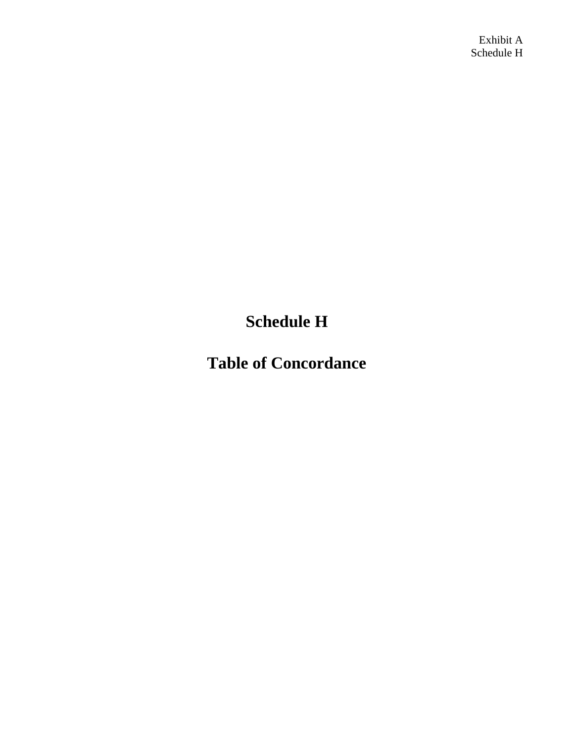Exhibit A Schedule H

**Schedule H**

**Table of Concordance**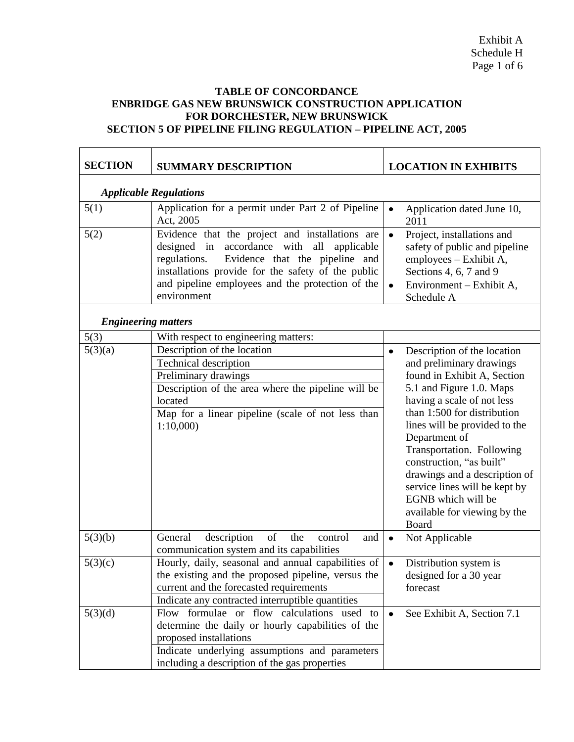## **TABLE OF CONCORDANCE ENBRIDGE GAS NEW BRUNSWICK CONSTRUCTION APPLICATION FOR DORCHESTER, NEW BRUNSWICK SECTION 5 OF PIPELINE FILING REGULATION – PIPELINE ACT, 2005**

| <b>SECTION</b>                | <b>SUMMARY DESCRIPTION</b>                                                                                                                                                                                                                                                           | <b>LOCATION IN EXHIBITS</b>                                                                                                                                                                                                                                                                                                                                                                                                              |
|-------------------------------|--------------------------------------------------------------------------------------------------------------------------------------------------------------------------------------------------------------------------------------------------------------------------------------|------------------------------------------------------------------------------------------------------------------------------------------------------------------------------------------------------------------------------------------------------------------------------------------------------------------------------------------------------------------------------------------------------------------------------------------|
| <b>Applicable Regulations</b> |                                                                                                                                                                                                                                                                                      |                                                                                                                                                                                                                                                                                                                                                                                                                                          |
| 5(1)                          | Application for a permit under Part 2 of Pipeline<br>Act, 2005                                                                                                                                                                                                                       | Application dated June 10,<br>$\bullet$<br>2011                                                                                                                                                                                                                                                                                                                                                                                          |
| 5(2)                          | Evidence that the project and installations are<br>accordance with<br>all<br>designed<br>in<br>applicable<br>Evidence that the pipeline and<br>regulations.<br>installations provide for the safety of the public<br>and pipeline employees and the protection of the<br>environment | $\bullet$<br>Project, installations and<br>safety of public and pipeline<br>employees - Exhibit A,<br>Sections 4, 6, 7 and 9<br>Environment – Exhibit A,<br>$\bullet$<br>Schedule A                                                                                                                                                                                                                                                      |
| <b>Engineering matters</b>    |                                                                                                                                                                                                                                                                                      |                                                                                                                                                                                                                                                                                                                                                                                                                                          |
| 5(3)                          | With respect to engineering matters:                                                                                                                                                                                                                                                 |                                                                                                                                                                                                                                                                                                                                                                                                                                          |
| 5(3)(a)                       | Description of the location<br>Technical description<br>Preliminary drawings<br>Description of the area where the pipeline will be<br>located<br>Map for a linear pipeline (scale of not less than<br>1:10,000                                                                       | Description of the location<br>$\bullet$<br>and preliminary drawings<br>found in Exhibit A, Section<br>5.1 and Figure 1.0. Maps<br>having a scale of not less<br>than 1:500 for distribution<br>lines will be provided to the<br>Department of<br>Transportation. Following<br>construction, "as built"<br>drawings and a description of<br>service lines will be kept by<br>EGNB which will be<br>available for viewing by the<br>Board |
| 5(3)(b)                       | of<br>description<br>the<br>General<br>and<br>control<br>communication system and its capabilities                                                                                                                                                                                   | Not Applicable<br>$\bullet$                                                                                                                                                                                                                                                                                                                                                                                                              |
| 5(3)(c)                       | Hourly, daily, seasonal and annual capabilities of<br>the existing and the proposed pipeline, versus the<br>current and the forecasted requirements<br>Indicate any contracted interruptible quantities                                                                              | Distribution system is<br>$\bullet$<br>designed for a 30 year<br>forecast                                                                                                                                                                                                                                                                                                                                                                |
| 5(3)(d)                       | Flow formulae or flow calculations used to<br>determine the daily or hourly capabilities of the<br>proposed installations<br>Indicate underlying assumptions and parameters<br>including a description of the gas properties                                                         | See Exhibit A, Section 7.1<br>$\bullet$                                                                                                                                                                                                                                                                                                                                                                                                  |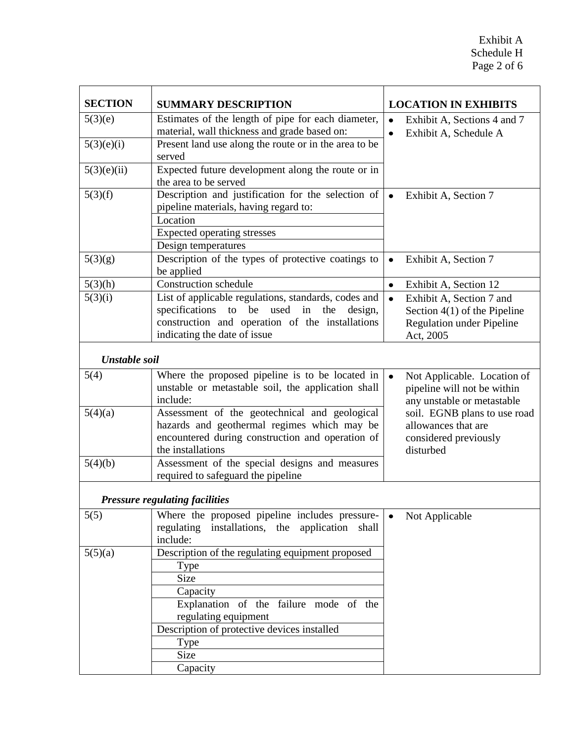| <b>SECTION</b> | <b>SUMMARY DESCRIPTION</b>                                                                                                                                                                                           |           | <b>LOCATION IN EXHIBITS</b>                                                                                 |
|----------------|----------------------------------------------------------------------------------------------------------------------------------------------------------------------------------------------------------------------|-----------|-------------------------------------------------------------------------------------------------------------|
| 5(3)(e)        | Estimates of the length of pipe for each diameter,                                                                                                                                                                   | $\bullet$ | Exhibit A, Sections 4 and 7                                                                                 |
|                | material, wall thickness and grade based on:                                                                                                                                                                         | $\bullet$ | Exhibit A, Schedule A                                                                                       |
| 5(3)(e)(i)     | Present land use along the route or in the area to be<br>served                                                                                                                                                      |           |                                                                                                             |
| 5(3)(e)(ii)    | Expected future development along the route or in<br>the area to be served                                                                                                                                           |           |                                                                                                             |
| 5(3)(f)        | Description and justification for the selection of<br>pipeline materials, having regard to:<br>Location<br><b>Expected operating stresses</b><br>Design temperatures                                                 | $\bullet$ | Exhibit A, Section 7                                                                                        |
| 5(3)(g)        | Description of the types of protective coatings to<br>be applied                                                                                                                                                     | $\bullet$ | Exhibit A, Section 7                                                                                        |
| 5(3)(h)        | <b>Construction schedule</b>                                                                                                                                                                                         | $\bullet$ | Exhibit A, Section 12                                                                                       |
| 5(3)(i)        | List of applicable regulations, standards, codes and<br>specifications<br>to be used in<br>the<br>design,<br>construction and operation of the installations<br>indicating the date of issue                         | $\bullet$ | Exhibit A, Section 7 and<br>Section $4(1)$ of the Pipeline<br><b>Regulation under Pipeline</b><br>Act, 2005 |
| Unstable soil  |                                                                                                                                                                                                                      |           |                                                                                                             |
| 5(4)           | Where the proposed pipeline is to be located in<br>unstable or metastable soil, the application shall<br>include:                                                                                                    | $\bullet$ | Not Applicable. Location of<br>pipeline will not be within<br>any unstable or metastable                    |
| 5(4)(a)        | Assessment of the geotechnical and geological<br>hazards and geothermal regimes which may be<br>encountered during construction and operation of<br>the installations                                                |           | soil. EGNB plans to use road<br>allowances that are<br>considered previously<br>disturbed                   |
| 5(4)(b)        | Assessment of the special designs and measures<br>required to safeguard the pipeline                                                                                                                                 |           |                                                                                                             |
|                | <b>Pressure regulating facilities</b>                                                                                                                                                                                |           |                                                                                                             |
| 5(5)           | Where the proposed pipeline includes pressure-<br>regulating installations, the application<br>shall<br>include:                                                                                                     | $\bullet$ | Not Applicable                                                                                              |
| 5(5)(a)        | Description of the regulating equipment proposed<br><b>Type</b><br>Size<br>Capacity<br>Explanation of the failure mode of the<br>regulating equipment<br>Description of protective devices installed<br>Type<br>Size |           |                                                                                                             |
|                | Capacity                                                                                                                                                                                                             |           |                                                                                                             |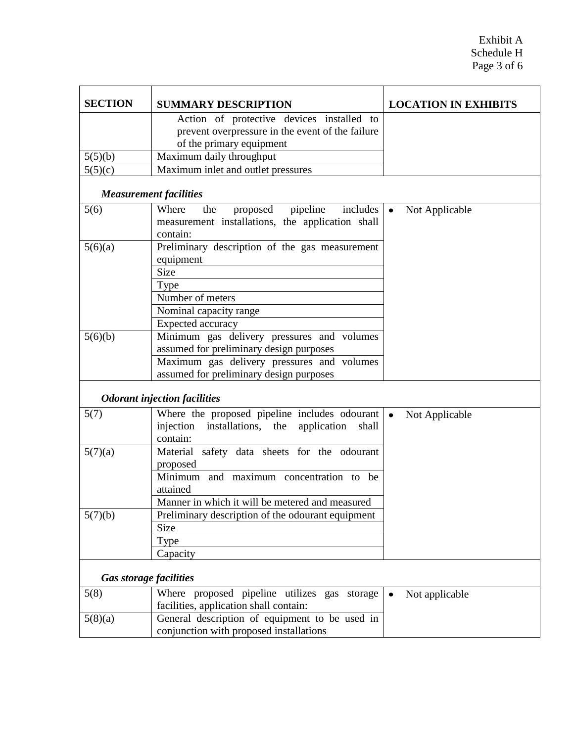| <b>SECTION</b>                | <b>SUMMARY DESCRIPTION</b>                                                                               | <b>LOCATION IN EXHIBITS</b> |
|-------------------------------|----------------------------------------------------------------------------------------------------------|-----------------------------|
|                               | Action of protective devices installed to                                                                |                             |
|                               | prevent overpressure in the event of the failure                                                         |                             |
|                               | of the primary equipment                                                                                 |                             |
| 5(5)(b)                       | Maximum daily throughput                                                                                 |                             |
| 5(5)(c)                       | Maximum inlet and outlet pressures                                                                       |                             |
| <b>Measurement facilities</b> |                                                                                                          |                             |
| 5(6)                          | Where<br>proposed<br>pipeline<br>includes<br>the                                                         | $\bullet$<br>Not Applicable |
|                               | measurement installations, the application shall                                                         |                             |
|                               | contain:                                                                                                 |                             |
| 5(6)(a)                       | Preliminary description of the gas measurement                                                           |                             |
|                               | equipment                                                                                                |                             |
|                               | <b>Size</b>                                                                                              |                             |
|                               | Type                                                                                                     |                             |
|                               | Number of meters                                                                                         |                             |
|                               | Nominal capacity range                                                                                   |                             |
|                               | Expected accuracy                                                                                        |                             |
| 5(6)(b)                       | Minimum gas delivery pressures and volumes<br>assumed for preliminary design purposes                    |                             |
|                               | Maximum gas delivery pressures and volumes                                                               |                             |
|                               | assumed for preliminary design purposes                                                                  |                             |
|                               |                                                                                                          |                             |
|                               | <b>Odorant injection facilities</b>                                                                      |                             |
| 5(7)                          | Where the proposed pipeline includes odourant<br>injection<br>installations, the<br>application<br>shall | $\bullet$<br>Not Applicable |
|                               | contain:                                                                                                 |                             |
| 5(7)(a)                       | Material safety data sheets for the odourant<br>proposed                                                 |                             |
|                               | Minimum and maximum concentration to be<br>attained                                                      |                             |
|                               | Manner in which it will be metered and measured                                                          |                             |
| 5(7)(b)                       | Preliminary description of the odourant equipment                                                        |                             |
|                               | Size                                                                                                     |                             |
|                               | Type                                                                                                     |                             |
|                               | Capacity                                                                                                 |                             |
|                               |                                                                                                          |                             |
| <b>Gas storage facilities</b> |                                                                                                          |                             |
| 5(8)                          | Where proposed pipeline utilizes gas storage                                                             | Not applicable<br>$\bullet$ |
|                               | facilities, application shall contain:                                                                   |                             |
| 5(8)(a)                       | General description of equipment to be used in                                                           |                             |
|                               | conjunction with proposed installations                                                                  |                             |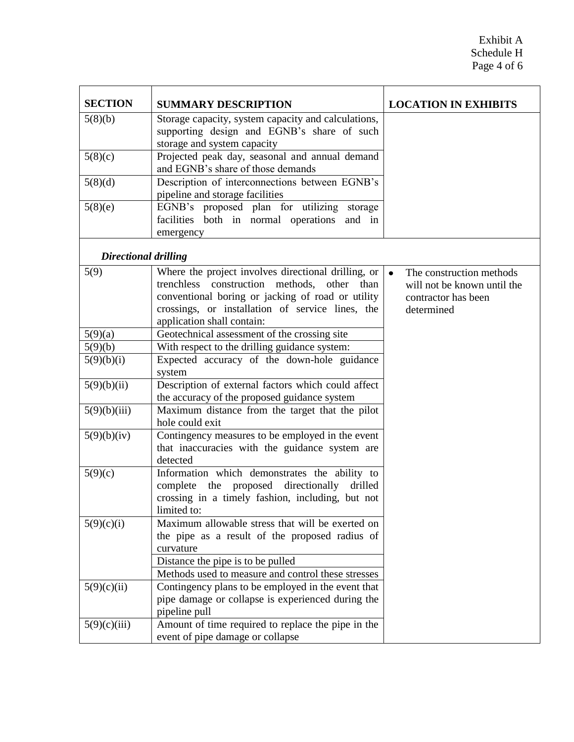| <b>SECTION</b>              | <b>SUMMARY DESCRIPTION</b>                                                                                                                                                                                                                   | <b>LOCATION IN EXHIBITS</b>                                                                               |
|-----------------------------|----------------------------------------------------------------------------------------------------------------------------------------------------------------------------------------------------------------------------------------------|-----------------------------------------------------------------------------------------------------------|
| 5(8)(b)                     | Storage capacity, system capacity and calculations,<br>supporting design and EGNB's share of such                                                                                                                                            |                                                                                                           |
|                             | storage and system capacity                                                                                                                                                                                                                  |                                                                                                           |
| 5(8)(c)                     | Projected peak day, seasonal and annual demand<br>and EGNB's share of those demands                                                                                                                                                          |                                                                                                           |
| 5(8)(d)                     | Description of interconnections between EGNB's<br>pipeline and storage facilities                                                                                                                                                            |                                                                                                           |
| 5(8)(e)                     | EGNB's proposed plan for utilizing storage<br>facilities both in normal operations<br>and in<br>emergency                                                                                                                                    |                                                                                                           |
| <b>Directional drilling</b> |                                                                                                                                                                                                                                              |                                                                                                           |
| 5(9)                        | Where the project involves directional drilling, or<br>trenchless construction methods, other<br>than<br>conventional boring or jacking of road or utility<br>crossings, or installation of service lines, the<br>application shall contain: | The construction methods<br>$\bullet$<br>will not be known until the<br>contractor has been<br>determined |
| 5(9)(a)                     | Geotechnical assessment of the crossing site                                                                                                                                                                                                 |                                                                                                           |
| 5(9)(b)                     | With respect to the drilling guidance system:                                                                                                                                                                                                |                                                                                                           |
| 5(9)(b)(i)                  | Expected accuracy of the down-hole guidance<br>system                                                                                                                                                                                        |                                                                                                           |
| 5(9)(b)(ii)                 | Description of external factors which could affect<br>the accuracy of the proposed guidance system                                                                                                                                           |                                                                                                           |
| 5(9)(b)(iii)                | Maximum distance from the target that the pilot<br>hole could exit                                                                                                                                                                           |                                                                                                           |
| 5(9)(b)(iv)                 | Contingency measures to be employed in the event<br>that inaccuracies with the guidance system are<br>detected                                                                                                                               |                                                                                                           |
| 5(9)(c)                     | Information which demonstrates the ability to<br>complete the proposed directionally<br>drilled<br>crossing in a timely fashion, including, but not<br>limited to:                                                                           |                                                                                                           |
| 5(9)(c)(i)                  | Maximum allowable stress that will be exerted on<br>the pipe as a result of the proposed radius of<br>curvature                                                                                                                              |                                                                                                           |
|                             | Distance the pipe is to be pulled<br>Methods used to measure and control these stresses                                                                                                                                                      |                                                                                                           |
| 5(9)(c)(ii)                 | Contingency plans to be employed in the event that<br>pipe damage or collapse is experienced during the<br>pipeline pull                                                                                                                     |                                                                                                           |
| 5(9)(c)(iii)                | Amount of time required to replace the pipe in the<br>event of pipe damage or collapse                                                                                                                                                       |                                                                                                           |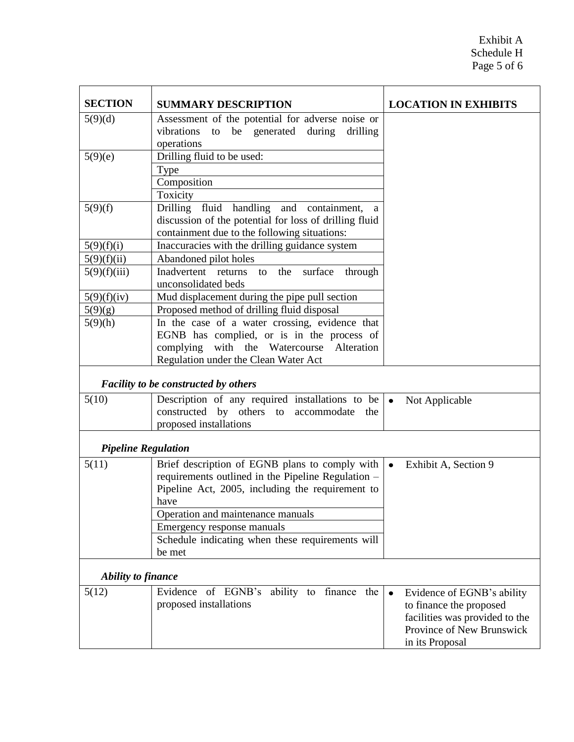| <b>SECTION</b>             | <b>SUMMARY DESCRIPTION</b>                                                                                                                                                                                                                                                                        | <b>LOCATION IN EXHIBITS</b>                                                                                                                          |
|----------------------------|---------------------------------------------------------------------------------------------------------------------------------------------------------------------------------------------------------------------------------------------------------------------------------------------------|------------------------------------------------------------------------------------------------------------------------------------------------------|
| 5(9)(d)                    | Assessment of the potential for adverse noise or<br>be generated<br>vibrations<br>during<br>drilling<br>to<br>operations                                                                                                                                                                          |                                                                                                                                                      |
| 5(9)(e)                    | Drilling fluid to be used:<br>Type<br>Composition<br>Toxicity                                                                                                                                                                                                                                     |                                                                                                                                                      |
| 5(9)(f)                    | fluid handling and containment,<br>Drilling<br>a<br>discussion of the potential for loss of drilling fluid<br>containment due to the following situations:                                                                                                                                        |                                                                                                                                                      |
| 5(9)(f)(i)                 | Inaccuracies with the drilling guidance system                                                                                                                                                                                                                                                    |                                                                                                                                                      |
| 5(9)(f)(ii)                | Abandoned pilot holes                                                                                                                                                                                                                                                                             |                                                                                                                                                      |
| 5(9)(f)(iii)               | Inadvertent returns<br>surface<br>the<br>through<br>to<br>unconsolidated beds                                                                                                                                                                                                                     |                                                                                                                                                      |
| 5(9)(f)(iv)                | Mud displacement during the pipe pull section                                                                                                                                                                                                                                                     |                                                                                                                                                      |
| 5(9)(g)                    | Proposed method of drilling fluid disposal                                                                                                                                                                                                                                                        |                                                                                                                                                      |
| 5(9)(h)                    | In the case of a water crossing, evidence that<br>EGNB has complied, or is in the process of<br>with<br>the<br>Watercourse<br>Alteration<br>complying<br>Regulation under the Clean Water Act                                                                                                     |                                                                                                                                                      |
|                            | <b>Facility to be constructed by others</b>                                                                                                                                                                                                                                                       |                                                                                                                                                      |
| 5(10)                      | Description of any required installations to be<br>constructed by others to accommodate<br>the<br>proposed installations                                                                                                                                                                          | $\bullet$<br>Not Applicable                                                                                                                          |
| <b>Pipeline Regulation</b> |                                                                                                                                                                                                                                                                                                   |                                                                                                                                                      |
| 5(11)                      | Brief description of EGNB plans to comply with<br>requirements outlined in the Pipeline Regulation -<br>Pipeline Act, 2005, including the requirement to<br>have<br>Operation and maintenance manuals<br>Emergency response manuals<br>Schedule indicating when these requirements will<br>be met | Exhibit A, Section 9<br>$\bullet$                                                                                                                    |
| Ability to finance         |                                                                                                                                                                                                                                                                                                   |                                                                                                                                                      |
| 5(12)                      | Evidence of EGNB's ability to finance the<br>proposed installations                                                                                                                                                                                                                               | Evidence of EGNB's ability<br>$\bullet$<br>to finance the proposed<br>facilities was provided to the<br>Province of New Brunswick<br>in its Proposal |